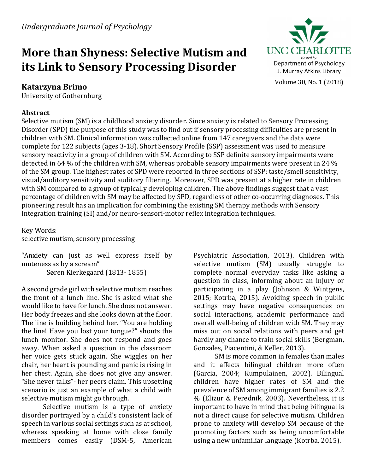# **More than Shyness: Selective Mutism and its Link to Sensory Processing Disorder**

# **Katarzyna Brimo**

University of Gothernburg

# **Abstract**



Selective mutism (SM) is a childhood anxiety disorder. Since anxiety is related to Sensory Processing Disorder (SPD) the purpose of this study was to find out if sensory processing difficulties are present in children with SM. Clinical information was collected online from 147 caregivers and the data were complete for 122 subjects (ages 3-18). Short Sensory Profile (SSP) assessment was used to measure sensory reactivity in a group of children with SM. According to SSP definite sensory impairments were detected in 64 % of the children with SM, whereas probable sensory impairments were present in 24 % of the SM group. The highest rates of SPD were reported in three sections of SSP: taste/smell sensitivity, visual/auditory sensitivity and auditory filtering. Moreover, SPD was present at a higher rate in children with SM compared to a group of typically developing children. The above findings suggest that a vast percentage of children with SM may be affected by SPD, regardless of other co-occurring diagnoses. This pioneering result has an implication for combining the existing SM therapy methods with Sensory Integration training (SI) and/or neuro-sensori-motor reflex integration techniques.

Key Words: selective mutism, sensory processing

"Anxiety can just as well express itself by muteness as by a scream" Søren Kierkegaard (1813-1855)

A second grade girl with selective mutism reaches the front of a lunch line. She is asked what she would like to have for lunch. She does not answer. Her body freezes and she looks down at the floor. The line is building behind her. "You are holding the line! Have you lost your tongue?" shouts the lunch monitor. She does not respond and goes away. When asked a question in the classroom her voice gets stuck again. She wiggles on her chair, her heart is pounding and panic is rising in her chest. Again, she does not give any answer. "She never talks"- her peers claim. This upsetting scenario is just an example of what a child with selective mutism might go through.

Selective mutism is a type of anxiety disorder portrayed by a child's consistent lack of speech in various social settings such as at school, whereas speaking at home with close family members comes easily (DSM-5, American

Psychiatric Association, 2013). Children with selective mutism (SM) usually struggle to complete normal everyday tasks like asking a question in class, informing about an injury or participating in a play (Johnson  $&$  Wintgens, 2015; Kotrba, 2015). Avoiding speech in public settings may have negative consequences on social interactions, academic performance and overall well-being of children with SM. They may miss out on social relations with peers and get hardly any chance to train social skills (Bergman, Gonzales, Piacentini, & Keller, 2013).

SM is more common in females than males and it affects bilingual children more often (Garcia, 2004; Kumpulainen, 2002). Bilingual children have higher rates of SM and the prevalence of SM among immigrant families is 2.2 % (Elizur & Perednik, 2003). Nevertheless, it is important to have in mind that being bilingual is not a direct cause for selective mutism. Children prone to anxiety will develop SM because of the promoting factors such as being uncomfortable using a new unfamiliar language (Kotrba, 2015).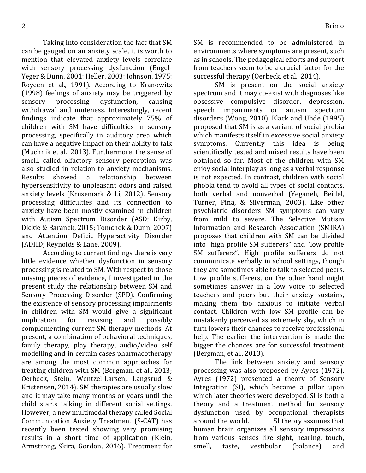Taking into consideration the fact that SM can be gauged on an anxiety scale, it is worth to mention that elevated anxiety levels correlate with sensory processing dysfunction (Engel-Yeger & Dunn, 2001; Heller, 2003; Johnson, 1975; Royeen et al., 1991). According to Kranowitz (1998) feelings of anxiety may be triggered by sensory processing dysfunction, causing withdrawal and muteness. Interestingly, recent findings indicate that approximately 75% of children with SM have difficulties in sensory processing, specifically in auditory area which can have a negative impact on their ability to talk (Muchnik et al., 2013). Furthermore, the sense of smell, called olfactory sensory perception was also studied in relation to anxiety mechanisms. Results showed a relationship between hypersensitivity to unpleasant odors and raised anxiety levels (Krusemark & Li, 2012). Sensory processing difficulties and its connection to anxiety have been mostly examined in children with Autism Spectrum Disorder (ASD; Kirby, Dickie & Baranek, 2015; Tomchek & Dunn, 2007) and Attention Deficit Hyperactivity Disorder (ADHD; Reynolds & Lane, 2009).

According to current findings there is very little evidence whether dysfunction in sensory processing is related to SM. With respect to those missing pieces of evidence, I investigated in the present study the relationship between SM and Sensory Processing Disorder (SPD). Confirming the existence of sensory processing impairments in children with SM would give a significant implication for revising and possibly complementing current SM therapy methods. At present, a combination of behavioral techniques, family therapy, play therapy, audio/video self modelling and in certain cases pharmacotherapy are among the most common approaches for treating children with SM (Bergman, et al., 2013; Oerbeck, Stein, Wentzel-Larsen, Langsrud & Kristensen, 2014). SM therapies are usually slow and it may take many months or years until the child starts talking in different social settings. However, a new multimodal therapy called Social Communication Anxiety Treatment (S-CAT) has recently been tested showing very promising results in a short time of application (Klein, Armstrong, Skira, Gordon, 2016). Treatment for

SM is recommended to be administered in environments where symptoms are present, such as in schools. The pedagogical efforts and support from teachers seem to be a crucial factor for the successful therapy (Oerbeck, et al., 2014).

SM is present on the social anxiety spectrum and it may co-exist with diagnoses like obsessive compulsive disorder, depression, speech impairments or autism spectrum disorders (Wong, 2010). Black and Uhde  $(1995)$ proposed that SM is as a variant of social phobia which manifests itself in excessive social anxiety symptoms. Currently this idea is being scientifically tested and mixed results have been obtained so far. Most of the children with SM enjoy social interplay as long as a verbal response is not expected. In contrast, children with social phobia tend to avoid all types of social contacts, both verbal and nonverbal (Yeganeh, Beidel, Turner, Pina, & Silverman, 2003). Like other psychiatric disorders SM symptoms can vary from mild to severe. The Selective Mutism Information and Research Association (SMIRA) proposes that children with SM can be divided into "high profile SM sufferers" and "low profile SM sufferers". High profile sufferers do not communicate verbally in school settings, though they are sometimes able to talk to selected peers. Low profile sufferers, on the other hand might sometimes answer in a low voice to selected teachers and peers but their anxiety sustains, making them too anxious to initiate verbal contact. Children with low SM profile can be mistakenly perceived as extremely shy, which in turn lowers their chances to receive professional help. The earlier the intervention is made the bigger the chances are for successful treatment (Bergman, et al., 2013).

The link between anxiety and sensory processing was also proposed by Ayres (1972). Ayres (1972) presented a theory of Sensory Integration (SI), which became a pillar upon which later theories were developed. SI is both a theory and a treatment method for sensory dysfunction used by occupational therapists around the world. SI theory assumes that human brain organizes all sensory impressions from various senses like sight, hearing, touch, smell, taste, vestibular (balance) and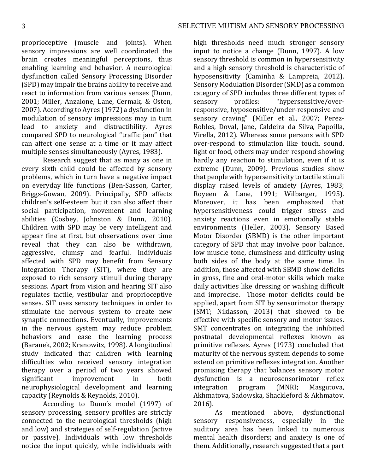proprioceptive (muscle and joints). When sensory impressions are well coordinated the brain creates meaningful perceptions, thus enabling learning and behavior. A neurological dysfunction called Sensory Processing Disorder (SPD) may impair the brains ability to receive and react to information from various senses (Dunn, 2001; Miller, Anzalone, Lane, Cermak, & Osten, 2007). According to Ayres (1972) a dysfunction in modulation of sensory impressions may in turn lead to anxiety and distractibility. Ayres compared SPD to neurological "traffic jam" that can affect one sense at a time or it may affect multiple senses simultaneously (Ayres, 1983).

Research suggest that as many as one in every sixth child could be affected by sensory problems, which in turn have a negative impact on everyday life functions (Ben-Sasson, Carter, Briggs-Gowan, 2009). Principally, SPD affects children's self-esteem but it can also affect their social participation, movement and learning abilities (Cosbey, Johnston & Dunn, 2010). Children with SPD may be very intelligent and appear fine at first, but observations over time reveal that they can also be withdrawn, aggressive, clumsy and fearful. Individuals affected with SPD may benefit from Sensory Integration Therapy  $(SIT)$ , where they are exposed to rich sensory stimuli during therapy sessions. Apart from vision and hearing SIT also regulates tactile, vestibular and proprioceptive senses. SIT uses sensory techniques in order to stimulate the nervous system to create new synaptic connections. Eventually, improvements in the nervous system may reduce problem behaviors and ease the learning process (Baranek, 2002; Kranowitz, 1998). A longitudinal study indicated that children with learning difficulties who received sensory integration therapy over a period of two years showed significant improvement in both neurophysiological development and learning capacity (Reynolds & Reynolds, 2010).

According to Dunn's model (1997) of sensory processing, sensory profiles are strictly connected to the neurological thresholds (high and low) and strategies of self-regulation (active or passive). Individuals with low thresholds notice the input quickly, while individuals with

high thresholds need much stronger sensory input to notice a change (Dunn, 1997). A low sensory threshold is common in hypersensitivity and a high sensory threshold is characteristic of hyposensitivity (Caminha & Lampreia, 2012). Sensory Modulation Disorder (SMD) as a common category of SPD includes three different types of sensory profiles: "hypersensitive/overresponsive, hyposensitive/under-responsive and sensory craving" (Miller et al., 2007; Perez-Robles, Doval, Jane, Caldeira da Silva, Papoilla, Virella, 2012). Whereas some persons with SPD over-respond to stimulation like touch, sound, light or food, others may under-respond showing hardly any reaction to stimulation, even if it is extreme (Dunn, 2009). Previous studies show that people with hypersensitivity to tactile stimuli display raised levels of anxiety (Ayres, 1983; Royeen & Lane, 1991; Wilbarger, 1995). Moreover, it has been emphasized that hypersensitiveness could trigger stress and anxiety reactions even in emotionally stable environments (Heller, 2003). Sensory Based Motor Disorder (SBMD) is the other important category of SPD that may involve poor balance, low muscle tone, clumsiness and difficulty using both sides of the body at the same time. In addition, those affected with SBMD show deficits in gross, fine and oral-motor skills which make daily activities like dressing or washing difficult and imprecise. Those motor deficits could be applied, apart from SIT by sensorimotor therapy (SMT; Niklasson, 2013) that showed to be effective with specific sensory and motor issues. SMT concentrates on integrating the inhibited postnatal developmental reflexes known as primitive reflexes. Ayres (1973) concluded that maturity of the nervous system depends to some extend on primitive reflexes integration. Another promising therapy that balances sensory motor dysfunction is a neurosensorimotor reflex integration program (MNRI; Masgutova, Akhmatova, Sadowska, Shackleford & Akhmatov, 2016).

As mentioned above, dysfunctional sensory responsiveness, especially in the auditory area has been linked to numerous mental health disorders; and anxiety is one of them. Additionally, research suggested that a part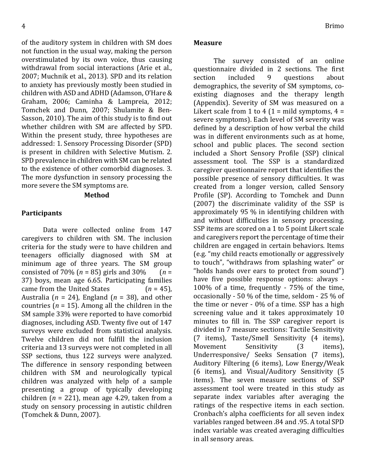of the auditory system in children with SM does not function in the usual way, making the person overstimulated by its own voice, thus causing withdrawal from social interactions (Arie et al., 2007; Muchnik et al., 2013). SPD and its relation to anxiety has previously mostly been studied in children with ASD and ADHD (Adamson, O'Hare & Graham, 2006; Caminha & Lampreia, 2012; Tomchek and Dunn, 2007; Shulamite & Ben-Sasson, 2010). The aim of this study is to find out whether children with SM are affected by SPD. Within the present study, three hypotheses are addressed: 1. Sensory Processing Disorder (SPD) is present in children with Selective Mutism. 2. SPD prevalence in children with SM can be related to the existence of other comorbid diagnoses. 3. The more dysfunction in sensory processing the more severe the SM symptoms are.

#### **Method**

#### **Participants**

Data were collected online from 147 caregivers to children with SM. The inclusion criteria for the study were to have children and teenagers officially diagnosed with SM at minimum age of three years. The SM group consisted of 70%  $(n = 85)$  girls and 30%  $(n = 100)$ 37) boys, mean age 6.65. Participating families came from the United States  $(n = 45)$ , Australia ( $n = 24$ ), England ( $n = 38$ ), and other countries ( $n = 15$ ). Among all the children in the SM sample 33% were reported to have comorbid diagnoses, including ASD. Twenty five out of 147 surveys were excluded from statistical analysis. Twelve children did not fulfill the inclusion criteria and 13 surveys were not completed in all SSP sections, thus 122 surveys were analyzed. The difference in sensory responding between children with SM and neurologically typical children was analyzed with help of a sample presenting a group of typically developing children  $(n = 221)$ , mean age 4.29, taken from a study on sensory processing in autistic children (Tomchek & Dunn, 2007).

#### **Measure**

The survey consisted of an online questionnaire divided in 2 sections. The first section included 9 questions about demographics, the severity of SM symptoms, coexisting diagnoses and the therapy length (Appendix). Severity of SM was measured on a Likert scale from 1 to 4 (1 = mild symptoms,  $4 =$ severe symptoms). Each level of SM severity was defined by a description of how verbal the child was in different environments such as at home, school and public places. The second section included a Short Sensory Profile (SSP) clinical assessment tool. The SSP is a standardized caregiver questionnaire report that identifies the possible presence of sensory difficulties. It was created from a longer version, called Sensory Profile (SP). According to Tomchek and Dunn (2007) the discriminate validity of the SSP is approximately 95 % in identifying children with and without difficulties in sensory processing. SSP items are scored on a 1 to 5 point Likert scale and caregivers report the percentage of time their children are engaged in certain behaviors. Items (e.g. "my child reacts emotionally or aggressively to touch", "withdraws from splashing water" or "holds hands over ears to protect from sound") have five possible response options: always -100% of a time, frequently -  $75%$  of the time, occasionally - 50 % of the time, seldom - 25 % of the time or never  $-0\%$  of a time. SSP has a high screening value and it takes approximately 10 minutes to fill in. The SSP caregiver report is divided in 7 measure sections: Tactile Sensitivity (7 items), Taste/Smell Sensitivity (4 items), Movement Sensitivity (3 items), Underresponsive/ Seeks Sensation (7 items), Auditory Filtering (6 items), Low Energy/Weak (6 items), and Visual/Auditory Sensitivity (5 items). The seven measure sections of SSP assessment tool were treated in this study as separate index variables after averaging the ratings of the respective items in each section. Cronbach's alpha coefficients for all seven index variables ranged between .84 and .95. A total SPD index variable was created averaging difficulties in all sensory areas.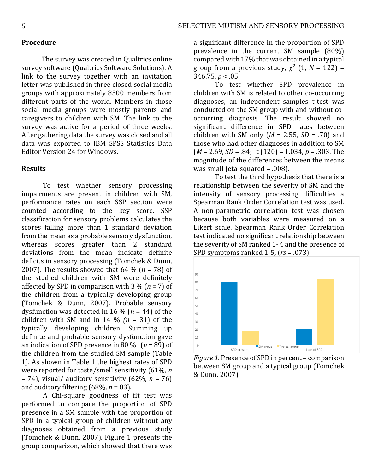#### **Procedure**

The survey was created in Qualtrics online survey software (Qualtrics Software Solutions). A link to the survey together with an invitation letter was published in three closed social media groups with approximately 8500 members from different parts of the world. Members in those social media groups were mostly parents and caregivers to children with SM. The link to the survey was active for a period of three weeks. After gathering data the survey was closed and all data was exported to IBM SPSS Statistics Data Editor Version 24 for Windows.

#### **Results**

To test whether sensory processing impairments are present in children with SM, performance rates on each SSP section were counted according to the key score. SSP classification for sensory problems calculates the scores falling more than 1 standard deviation from the mean as a probable sensory dysfunction, whereas scores greater than 2 standard deviations from the mean indicate definite deficits in sensory processing (Tomchek & Dunn, 2007). The results showed that  $64\%$  ( $n = 78$ ) of the studied children with SM were definitely affected by SPD in comparison with  $3\%$  ( $n = 7$ ) of the children from a typically developing group (Tomchek & Dunn, 2007). Probable sensory dysfunction was detected in 16 % ( $n = 44$ ) of the children with SM and in 14  $\frac{1}{2}$  (n = 31) of the typically developing children. Summing up definite and probable sensory dysfunction gave an indication of SPD presence in 80  $\frac{1}{0}$  (*n* = 89) of the children from the studied SM sample (Table 1). As shown in Table 1 the highest rates of SPD were reported for taste/smell sensitivity (61%, *n*  $= 74$ ), visual/ auditory sensitivity  $(62\%, n = 76)$ and auditory filtering  $(68\%, n = 83)$ .

A Chi-square goodness of fit test was performed to compare the proportion of SPD presence in a SM sample with the proportion of SPD in a typical group of children without any diagnoses obtained from a previous study (Tomchek & Dunn, 2007). Figure 1 presents the group comparison, which showed that there was

a significant difference in the proportion of SPD prevalence in the current  $SM$  sample  $(80\%)$ compared with 17% that was obtained in a typical group from a previous study,  $\chi^2$  (1, *N* = 122) =  $346.75, p < .05$ .

To test whether SPD prevalence in children with SM is related to other co-occurring diagnoses, an independent samples t-test was conducted on the SM group with and without cooccurring diagnosis. The result showed no significant difference in SPD rates between children with SM only  $(M = 2.55, SD = .70)$  and those who had other diagnoses in addition to SM  $(M = 2.69, SD = .84; t(120) = 1.034, p = .303$ . The magnitude of the differences between the means was small (eta-squared  $= .008$ ).

To test the third hypothesis that there is a relationship between the severity of SM and the intensity of sensory processing difficulties a Spearman Rank Order Correlation test was used. A non-parametric correlation test was chosen because both variables were measured on a Likert scale. Spearman Rank Order Correlation test indicated no significant relationship between the severity of SM ranked 1-4 and the presence of SPD symptoms ranked 1-5, ( $rs = .073$ ).



*Figure 1*. Presence of SPD in percent – comparison between SM group and a typical group (Tomchek & Dunn, 2007).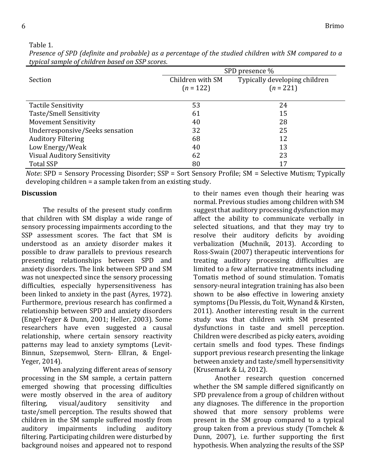Table 1.

|                                    | SPD presence %   |                               |
|------------------------------------|------------------|-------------------------------|
| Section                            | Children with SM | Typically developing children |
|                                    | $(n = 122)$      | $(n = 221)$                   |
|                                    |                  |                               |
| <b>Tactile Sensitivity</b>         | 53               | 24                            |
| Taste/Smell Sensitivity            | 61               | 15                            |
| <b>Movement Sensitivity</b>        | 40               | 28                            |
| Underresponsive/Seeks sensation    | 32               | 25                            |
| <b>Auditory Filtering</b>          | 68               | 12                            |
| Low Energy/Weak                    | 40               | 13                            |
| <b>Visual Auditory Sensitivity</b> | 62               | 23                            |
| <b>Total SSP</b>                   | 80               | 17                            |

*Presence of SPD (definite and probable)* as a percentage of the studied children with SM compared to a *typical sample of children based on SSP scores*.

*Note*: SPD = Sensory Processing Disorder; SSP = Sort Sensory Profile; SM = Selective Mutism; Typically developing children  $=$  a sample taken from an existing study.

## **Discussion**

The results of the present study confirm that children with SM display a wide range of sensory processing impairments according to the SSP assessment scores. The fact that SM is understood as an anxiety disorder makes it possible to draw parallels to previous research presenting relationships between SPD and anxiety disorders. The link between SPD and SM was not unexpected since the sensory processing difficulties, especially hypersensitiveness has been linked to anxiety in the past (Ayres, 1972). Furthermore, previous research has confirmed a relationship between SPD and anxiety disorders (Engel-Yeger & Dunn, 2001; Heller, 2003). Some researchers have even suggested a causal relationship, where certain sensory reactivity patterns may lead to anxiety symptoms (Levit-Binnun, Szepsemwol, Stern- Ellran, & Engel-Yeger, 2014).

When analyzing different areas of sensory processing in the SM sample, a certain pattern emerged showing that processing difficulties were mostly observed in the area of auditory filtering, visual/auditory sensitivity and taste/smell perception. The results showed that children in the SM sample suffered mostly from auditory impairments including auditory filtering. Participating children were disturbed by background noises and appeared not to respond to their names even though their hearing was normal. Previous studies among children with SM suggest that auditory processing dysfunction may affect the ability to communicate verbally in selected situations, and that they may try to resolve their auditory deficits by avoiding verbalization (Muchnik, 2013). According to Ross-Swain (2007) therapeutic interventions for treating auditory processing difficulties are limited to a few alternative treatments including Tomatis method of sound stimulation. Tomatis sensory-neural integration training has also been shown to be  $aIso$  effective in lowering anxiety symptoms (Du Plessis, du Toit, Wynand & Kirsten, 2011). Another interesting result in the current study was that children with SM presented dysfunctions in taste and smell perception. Children were described as picky eaters, avoiding certain smells and food types. These findings support previous research presenting the linkage between anxiety and taste/smell hypersensitivity (Krusemark & Li, 2012).

Another research question concerned whether the SM sample differed significantly on SPD prevalence from a group of children without any diagnoses. The difference in the proportion showed that more sensory problems were present in the SM group compared to a typical group taken from a previous study (Tomchek  $&$ Dunn, 2007), i.e. further supporting the first hypothesis. When analyzing the results of the SSP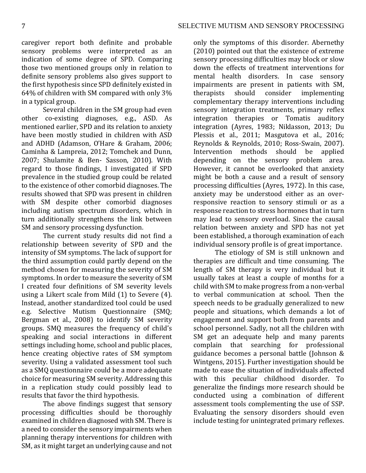caregiver report both definite and probable sensory problems were interpreted as an indication of some degree of SPD. Comparing those two mentioned groups only in relation to definite sensory problems also gives support to the first hypothesis since SPD definitely existed in 64% of children with SM compared with only  $3\%$ in a typical group.

Several children in the SM group had even other co-existing diagnoses, e.g., ASD. As mentioned earlier, SPD and its relation to anxiety have been mostly studied in children with ASD and ADHD (Adamson, O'Hare & Graham, 2006; Caminha & Lampreia, 2012; Tomchek and Dunn, 2007; Shulamite & Ben- Sasson, 2010). With regard to those findings, I investigated if SPD prevalence in the studied group could be related to the existence of other comorbid diagnoses. The results showed that SPD was present in children with SM despite other comorbid diagnoses including autism spectrum disorders, which in turn additionally strengthens the link between SM and sensory processing dysfunction.

The current study results did not find a relationship between severity of SPD and the intensity of SM symptoms. The lack of support for the third assumption could partly depend on the method chosen for measuring the severity of SM symptoms. In order to measure the severity of SM I created four definitions of SM severity levels using a Likert scale from Mild  $(1)$  to Severe  $(4)$ . Instead, another standardized tool could be used e.g. Selective Mutism Questionnaire (SMQ; Bergman et al., 2008) to identify SM severity groups. SMQ measures the frequency of child's speaking and social interactions in different settings including home, school and public places, hence creating objective rates of SM symptom severity. Using a validated assessment tool such as a SMQ questionnaire could be a more adequate choice for measuring SM severity. Addressing this in a replication study could possibly lead to results that favor the third hypothesis.

The above findings suggest that sensory processing difficulties should be thoroughly examined in children diagnosed with SM. There is a need to consider the sensory impairments when planning therapy interventions for children with SM, as it might target an underlying cause and not

only the symptoms of this disorder. Abernethy (2010) pointed out that the existence of extreme sensory processing difficulties may block or slow down the effects of treatment interventions for mental health disorders. In case sensory impairments are present in patients with SM, therapists should consider implementing complementary therapy interventions including sensory integration treatments, primary reflex integration therapies or Tomatis auditory integration (Ayres, 1983; Niklasson, 2013; Du Plessis et al., 2011; Masgutova et al., 2016; Reynolds & Reynolds, 2010; Ross-Swain, 2007). Intervention methods should be applied depending on the sensory problem area. However, it cannot be overlooked that anxiety might be both a cause and a result of sensory processing difficulties (Ayres, 1972). In this case, anxiety may be understood either as an overresponsive reaction to sensory stimuli or as a response reaction to stress hormones that in turn may lead to sensory overload. Since the causal relation between anxiety and SPD has not yet been established, a thorough examination of each individual sensory profile is of great importance.

The etiology of SM is still unknown and therapies are difficult and time consuming. The length of SM therapy is very individual but it usually takes at least a couple of months for a child with SM to make progress from a non-verbal to verbal communication at school. Then the speech needs to be gradually generalized to new people and situations, which demands a lot of engagement and support both from parents and school personnel. Sadly, not all the children with SM get an adequate help and many parents complain that searching for professional guidance becomes a personal battle (Johnson & Wintgens, 2015). Further investigation should be made to ease the situation of individuals affected with this peculiar childhood disorder. To generalize the findings more research should be conducted using a combination of different assessment tools complementing the use of SSP. Evaluating the sensory disorders should even include testing for unintegrated primary reflexes.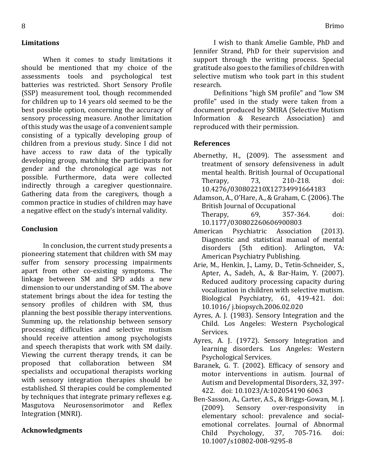# **Limitations**

When it comes to study limitations it should be mentioned that my choice of the assessments tools and psychological test batteries was restricted. Short Sensory Profile (SSP) measurement tool, though recommended for children up to 14 years old seemed to be the best possible option, concerning the accuracy of sensory processing measure. Another limitation of this study was the usage of a convenient sample consisting of a typically developing group of children from a previous study. Since I did not have access to raw data of the typically developing group, matching the participants for gender and the chronological age was not possible. Furthermore, data were collected indirectly through a caregiver questionnaire. Gathering data from the caregivers, though a common practice in studies of children may have a negative effect on the study's internal validity.

## **Conclusion**

In conclusion, the current study presents a pioneering statement that children with SM may suffer from sensory processing impairments apart from other co-existing symptoms. The linkage between SM and SPD adds a new dimension to our understanding of SM. The above statement brings about the idea for testing the sensory profiles of children with SM, thus planning the best possible therapy interventions. Summing up, the relationship between sensory processing difficulties and selective mutism should receive attention among psychologists and speech therapists that work with SM daily. Viewing the current therapy trends, it can be proposed that collaboration between SM specialists and occupational therapists working with sensory integration therapies should be established. SI therapies could be complemented by techniques that integrate primary reflexes e.g. Masgutova Neurosensorimotor and Reflex Integration (MNRI).

#### **Acknowledgments**

Definitions "high SM profile" and "low SM profile" used in the study were taken from a document produced by SMIRA (Selective Mutism Information & Research Association) and reproduced with their permission.

### **References**

- Abernethy, H., (2009). The assessment and treatment of sensory defensiveness in adult mental health. British Journal of Occupational Therapy, 73, 210-218. doi: 10.4276/030802210X12734991664183
- Adamson, A., O'Hare, A., & Graham, C. (2006). The British Journal of Occupational Therapy, 69, 357-364. doi: 10.1177/030802260606900803
- American Psychiatric Association (2013). Diagnostic and statistical manual of mental disorders (5th edition). Arlington, VA: American Psychiatry Publishing.
- Arie, M., Henkin, J., Lamy, D., Tetin-Schneider, S., Apter, A., Sadeh, A., & Bar-Haim, Y. (2007). Reduced auditory processing capacity during vocalization in children with selective mutism. Biological Psychiatry, 61, 419-421. doi: 10.1016/ j.biopsych.2006.02.020
- Ayres, A. J. (1983). Sensory Integration and the Child. Los Angeles: Western Psychological Services.
- Ayres, A. J. (1972). Sensory Integration and learning disorders. Los Angeles: Western Psychological Services.
- Baranek, G. T. (2002). Efficacy of sensory and motor interventions in autism. Journal of Autism and Developmental Disorders, 32, 397-422. doi: 10.1023/A:102054190 6063
- Ben-Sasson, A., Carter, A.S., & Briggs-Gowan, M. J. (2009). Sensory over-responsivity in elementary school: prevalence and socialemotional correlates. Journal of Abnormal Child Psychology, 37, 705-716. doi: 10.1007/s10802-008-9295-8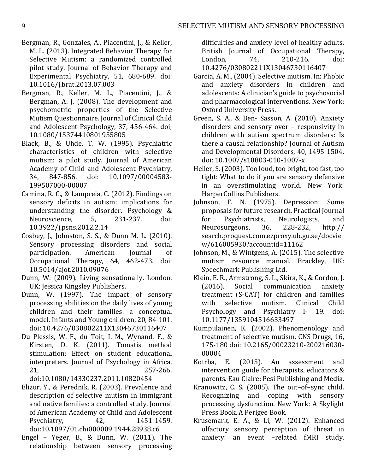- Bergman, R., Gonzales, A., Piacentini, J., & Keller, M. L. (2013). Integrated Behavior Therapy for Selective Mutism: a randomized controlled pilot study. Journal of Behavior Therapy and Experimental Psychiatry, 51, 680-689. doi: 10.1016/j.brat.2013.07.003
- Bergman, R., Keller, M. L., Piacentini, J., & Bergman, A. J. (2008). The development and psychometric properties of the Selective Mutism Questionnaire. Journal of Clinical Child and Adolescent Psychology, 37, 456-464. doi; 10.1080/15374410801955805
- Black, B., & Uhde, T. W. (1995). Psychiatric characteristics of children with selective mutism: a pilot study. Journal of American Academy of Child and Adolescent Psychiatry, 34, 847-856. doi: 10.1097/00004583- 199507000-00007
- Camina, R. C., & Lampreia, C. (2012). Findings on sensory deficits in autism: implications for understanding the disorder. Psychology  $&$ Neuroscience, 5, 231-237, doi: 10.3922/j.psns.2012.2.14
- Cosbey, J., Johnston, S. S., & Dunn M. L. (2010). Sensory processing disorders and social participation. American Journal of Occupational Therapy, 64, 462-473. doi: 10.5014/ajot.2010.09076
- Dunn, W. (2009). Living sensationally. London, UK: Jessica Kingsley Publishers.
- Dunn, W. (1997). The impact of sensory processing abilities on the daily lives of young children and their families: a conceptual model. Infants and Young children, 20, 84-101. doi: 10.4276/030802211X13046730116407
- Du Plessis, W. F., du Toit, I. M., Wynand, F., & Kirsten, D. K. (2011). Tomatis method stimulation: Effect on student educational interpreters. Journal of Psychology in Africa, 21, 257-266.

doi:10.1080/14330237.2011.10820454

- Elizur, Y., & Perednik, R. (2003). Prevalence and description of selective mutism in immigrant and native families: a controlled study. Journal of American Academy of Child and Adolescent Psychiatry, 42, 1451-1459. doi:10.1097/01.chi000009 1944.28938.c6
- Engel Yeger, B., & Dunn, W.  $(2011)$ . The relationship between sensory processing

difficulties and anxiety level of healthy adults. British Journal of Occupational Therapy, London. 74. 210-216. doi: 10.4276/030802211X13046730116407

- Garcia, A. M., (2004). Selective mutism. In: Phobic and anxiety disorders in children and adolescents: A clinician's guide to psychosocial and pharmacological interventions. New York: Oxford University Press.
- Green, S. A., & Ben- Sasson, A. (2010). Anxiety disorders and sensory over - responsivity in children with autism spectrum disorders: Is there a causal relationship? Journal of Autism and Developmental Disorders, 40, 1495-1504. doi: 10.1007/s10803-010-1007-x
- Heller, S. (2003). Too loud, too bright, too fast, too tight: What to do if you are sensory defensive in an overstimulating world. New York: HarperCollins Publishers.
- Johnson, F. N. (1975). Depression: Some proposals for future research. Practical Journal for Psychiatrists, Neurologists, and Neurosurgeons, 36, 228-232, http:// search.proquest.com.ezproxy.ub.gu.se/docvie w/616005930?accountid=11162
- Johnson, M., & Wintgens, A. (2015). The selective mutism resource manual. Brackley, UK: Speechmark Publishing Ltd.
- Klein, E. R., Armstrong, S. L., Skira, K., & Gordon, J. (2016). Social communication anxiety treatment (S-CAT) for children and families with selective mutism. Clinical Child Psychology and Psychiatry I- 19. doi: 10.1177/1359104516633497
- Kumpulainen, K. (2002). Phenomenology and treatment of selective mutism. CNS Drugs, 16, 175-180 doi: 10.2165/00023210-200216030- 00004
- Kotrba, E. (2015). An assessment and intervention guide for therapists, educators  $&$ parents. Eau Claire: Pesi Publishing and Media.
- Kranowitz, C. S. (2005). The out-of-sync child. Recognizing and coping with sensory processing dysfunction. New York: A Skylight Press Book, A Perigee Book.
- Krusemark, E. A., & Li, W. (2012). Enhanced olfactory sensory perception of threat in anxiety: an event -related fMRI study.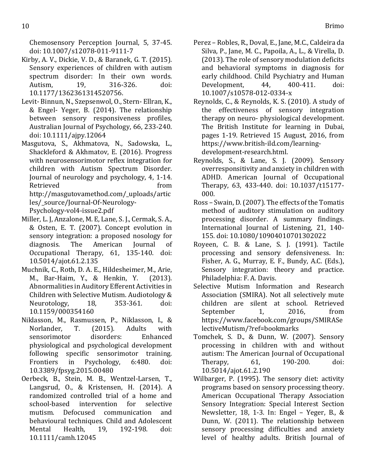Chemosensory Perception Journal, 5, 37-45. doi: 10.1007/s12078-011-9111-7

- Kirby, A. V., Dickie, V. D., & Baranek, G. T. (2015). Sensory experiences of children with autism spectrum disorder: In their own words. Autism, 19, 316-326. doi: 10.1177/1362361314520756.
- Levit- Binnun, N., Szepsenwol, O., Stern- Ellran, K., & Engel- Yeger, B. (2014). The relationship between sensory responsiveness profiles, Australian Journal of Psychology, 66, 233-240. doi: 10.1111/ajpy.12064
- Masgutova, S., Akhmatova, N., Sadowska, L., Shackleford & Akhmatov, E. (2016). Progress with neurosensorimotor reflex integration for children with Autism Spectrum Disorder. Journal of neurology and psychology, 4, 1-14. Retrieved from the set of the set of the set of the set of the set of the set of the set of the set of the set of the set of the set of the set of the set of the set of the set of the set of the set of the set of the set o http://masgutovamethod.com/\_uploads/artic les/\_source/Journal-Of-Neurology-Psychology-vol4-issue2.pdf
- Miller, L. J, Anzalone, M. E, Lane, S. J., Cermak, S. A., & Osten, E. T. (2007). Concept evolution in sensory integration: a proposed nosology for diagnosis. The American Journal of Occupational Therapy, 61, 135-140. doi: 10.5014/ajot.61.2.135
- Muchnik, C., Roth, D. A. E., Hildesheimer, M., Arie, M., Bar-Haim, Y., & Henkin, Y. (2013). Abnormalities in Auditory Efferent Activities in Children with Selective Mutism. Audiotology & Neurotology, 18, 353-361. doi: 10.1159/000354160
- Niklasson, M., Rasmussen, P., Niklasson, I., & Norlander, T. (2015). Adults with sensorimotor disorders: Enhanced physiological and psychological development following specific sensorimotor training. Frontiers in Psychology, 6:480. doi: 10.3389/fpsyg.2015.00480
- Oerbeck, B., Stein, M. B., Wentzel-Larsen, T., Langsrud, O., & Kristensen, H. (2014). A randomized controlled trial of a home and school-based intervention for selective mutism. Defocused communication and behavioural techniques. Child and Adolescent Mental Health, 19, 192-198. doi: 10.1111/camh.12045
- Perez Robles, R., Doval, E., Jane, M.C., Caldeira da Silva, P., Jane, M. C., Papoila, A., L., & Virella, D.  $(2013)$ . The role of sensory modulation deficits and behavioral symptoms in diagnosis for early childhood. Child Psychiatry and Human Development, 44, 400-411. doi: 10.1007/s10578-012-0334-x
- Reynolds, C., & Reynolds, K. S. (2010). A study of the effectiveness of sensory integration therapy on neuro- physiological development. The British Institute for learning in Dubai, pages 1-19. Retrieved 15 August, 2016, from https://www.british-ild.com/learningdevelopment-research.html.
- Reynolds, S., & Lane, S. J. (2009). Sensory overresponsitivity and anxiety in children with ADHD. American Journal of Occupational Therapy, 63, 433-440. doi: 10.1037/t15177-000.
- Ross Swain, D. (2007). The effects of the Tomatis method of auditory stimulation on auditory processing disorder. A summary findings. International Journal of Listening, 21, 140-155. doi: 10.1080/10904010701302022
- Royeen, C. B. & Lane, S. J. (1991). Tactile processing and sensory defensiveness. In: Fisher, A. G., Murray, E. F., Bundy, A.C. (Eds.), Sensory integration: theory and practice. Philadelphia: F. A. Davis.
- Selective Mutism Information and Research Association (SMIRA). Not all selectively mute children are silent at school. Retrieved September 1, 2016, from https://www.facebook.com/groups/SMIRASe lectiveMutism/?ref=bookmarks
- Tomchek, S. D., & Dunn, W. (2007). Sensory processing in children with and without autism: The American Journal of Occupational Therapy, 61, 190-200. doi: 10.5014/ajot.61.2.190
- Wilbarger, P. (1995). The sensory diet: activity programs based on sensory processing theory. American Occupational Therapy Association Sensory Integration: Special Interest Section Newsletter, 18, 1-3. In: Engel  $-$  Yeger, B., & Dunn, W. (2011). The relationship between sensory processing difficulties and anxiety level of healthy adults. British Journal of